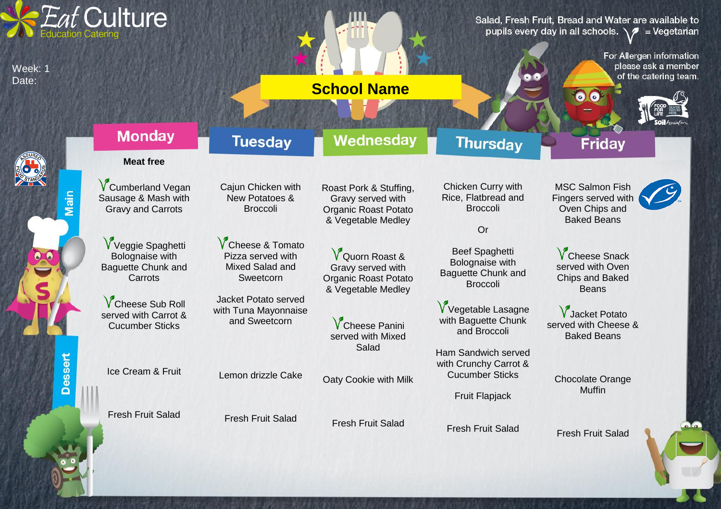| <i><b>Eat Culture</b></i>                |                                                                                                                                                                |                                                                                                  |                                                                                          | Salad, Fresh Fruit, Bread and Water are available to<br>pupils every day in all schools. $\sqrt{2}$ = Vegetarian |                                                                          |
|------------------------------------------|----------------------------------------------------------------------------------------------------------------------------------------------------------------|--------------------------------------------------------------------------------------------------|------------------------------------------------------------------------------------------|------------------------------------------------------------------------------------------------------------------|--------------------------------------------------------------------------|
| Week: 1<br>Date:                         |                                                                                                                                                                | <b>School Name</b>                                                                               |                                                                                          | $\bullet$ $\bullet$                                                                                              | For Allergen information<br>please ask a member<br>of the catering team. |
|                                          | <b>Monday</b><br><b>Tuesday</b>                                                                                                                                | Wednesday                                                                                        | <b>Thursday</b>                                                                          | <b>Friday</b>                                                                                                    |                                                                          |
|                                          | <b>Meat free</b>                                                                                                                                               |                                                                                                  |                                                                                          |                                                                                                                  |                                                                          |
| Main                                     | <b>V</b> Cumberland Vegan<br>Cajun Chicken with<br>Sausage & Mash with<br><b>New Potatoes &amp;</b><br><b>Gravy and Carrots</b><br><b>Broccoli</b>             | Roast Pork & Stuffing,<br>Gravy served with<br><b>Organic Roast Potato</b><br>& Vegetable Medley | Chicken Curry with<br>Rice, Flatbread and<br><b>Broccoli</b><br>Or                       | <b>MSC Salmon Fish</b><br>Fingers served with<br>Oven Chips and<br><b>Baked Beans</b>                            |                                                                          |
|                                          | V Veggie Spaghetti<br><b>V</b> Cheese & Tomato<br>Pizza served with<br>Bolognaise with<br><b>Baguette Chunk and</b><br>Mixed Salad and<br>Carrots<br>Sweetcorn | V Quorn Roast &<br>Gravy served with<br><b>Organic Roast Potato</b><br>& Vegetable Medley        | <b>Beef Spaghetti</b><br>Bolognaise with<br><b>Baguette Chunk and</b><br><b>Broccoli</b> | <b>V</b> Cheese Snack<br>served with Oven<br><b>Chips and Baked</b><br><b>Beans</b>                              |                                                                          |
|                                          | Jacket Potato served<br><b>V</b> Cheese Sub Roll<br>with Tuna Mayonnaise<br>served with Carrot &<br>and Sweetcorn<br><b>Cucumber Sticks</b>                    | <b>V</b> Cheese Panini<br>served with Mixed                                                      | V Vegetable Lasagne<br>with Baguette Chunk<br>and Broccoli                               | V Jacket Potato<br>served with Cheese &<br><b>Baked Beans</b>                                                    |                                                                          |
| essert<br>$\boldsymbol{\mathsf{\Omega}}$ | Ice Cream & Fruit<br>Lemon drizzle Cake                                                                                                                        | Salad<br>Oaty Cookie with Milk                                                                   | Ham Sandwich served<br>with Crunchy Carrot &<br><b>Cucumber Sticks</b>                   | <b>Chocolate Orange</b><br><b>Muffin</b>                                                                         |                                                                          |
|                                          | <b>Fresh Fruit Salad</b><br><b>Fresh Fruit Salad</b>                                                                                                           | <b>Fresh Fruit Salad</b>                                                                         | <b>Fruit Flapjack</b><br><b>Fresh Fruit Salad</b>                                        | <b>Fresh Fruit Salad</b>                                                                                         | ala.                                                                     |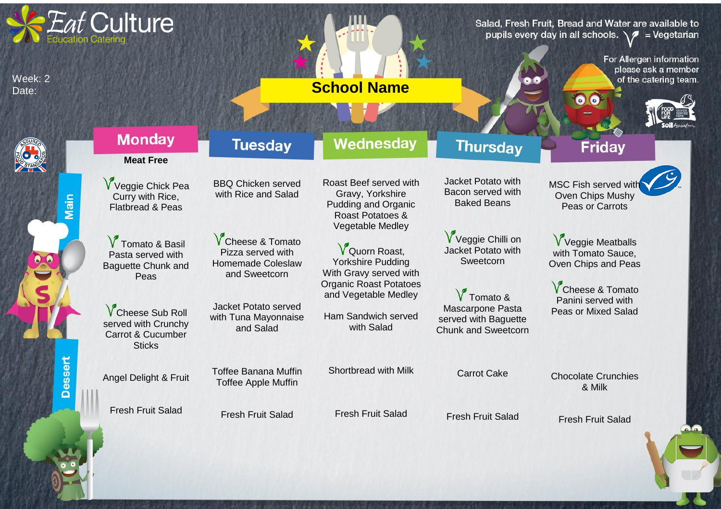| Week: 2<br>Date:           | <i><b>Eat Culture</b></i>                                                                        |                                                                                            | <b>School Name</b>                                                                                                      |                                                                                                | Salad, Fresh Fruit, Bread and Water are available to<br>pupils every day in all schools. $\sqrt{2}$ = Vegetarian<br>For Allergen information<br>please ask a member<br>of the catering team. |
|----------------------------|--------------------------------------------------------------------------------------------------|--------------------------------------------------------------------------------------------|-------------------------------------------------------------------------------------------------------------------------|------------------------------------------------------------------------------------------------|----------------------------------------------------------------------------------------------------------------------------------------------------------------------------------------------|
|                            | <b>Monday</b>                                                                                    | <b>Tuesday</b>                                                                             | Wednesday                                                                                                               | <b>Thursday</b>                                                                                | <b>Friday</b>                                                                                                                                                                                |
|                            | <b>Meat Free</b>                                                                                 |                                                                                            |                                                                                                                         |                                                                                                |                                                                                                                                                                                              |
| Main                       | V Veggie Chick Pea<br>Curry with Rice,<br><b>Flatbread &amp; Peas</b>                            | <b>BBQ Chicken served</b><br>with Rice and Salad                                           | Roast Beef served with<br>Gravy, Yorkshire<br><b>Pudding and Organic</b><br>Roast Potatoes &<br><b>Vegetable Medley</b> | Jacket Potato with<br>Bacon served with<br><b>Baked Beans</b>                                  | <b>MSC Fish served with</b><br>Oven Chips Mushy<br>Peas or Carrots                                                                                                                           |
|                            | V Tomato & Basil<br>Pasta served with<br><b>Baguette Chunk and</b><br>Peas                       | <b>V</b> Cheese & Tomato<br>Pizza served with<br><b>Homemade Coleslaw</b><br>and Sweetcorn | V Quorn Roast,<br><b>Yorkshire Pudding</b><br>With Gravy served with                                                    | V Veggie Chilli on<br>Jacket Potato with<br>Sweetcorn                                          | V Veggie Meatballs<br>with Tomato Sauce,<br>Oven Chips and Peas                                                                                                                              |
|                            | <b>V</b> Cheese Sub Roll<br>served with Crunchy<br><b>Carrot &amp; Cucumber</b><br><b>Sticks</b> | <b>Jacket Potato served</b><br>with Tuna Mayonnaise<br>and Salad                           | <b>Organic Roast Potatoes</b><br>and Vegetable Medley<br>Ham Sandwich served<br>with Salad                              | $\sqrt{\ }$ Tomato &<br>Mascarpone Pasta<br>served with Baguette<br><b>Chunk and Sweetcorn</b> | <b>V</b> Cheese & Tomato<br>Panini served with<br><b>Peas or Mixed Salad</b>                                                                                                                 |
| essert<br>$\mathbf \Omega$ | Angel Delight & Fruit                                                                            | <b>Toffee Banana Muffin</b><br><b>Toffee Apple Muffin</b>                                  | Shortbread with Milk                                                                                                    | <b>Carrot Cake</b>                                                                             | <b>Chocolate Crunchies</b><br>& Milk                                                                                                                                                         |
|                            | <b>Fresh Fruit Salad</b>                                                                         | <b>Fresh Fruit Salad</b>                                                                   | <b>Fresh Fruit Salad</b>                                                                                                | <b>Fresh Fruit Salad</b>                                                                       | <b>Fresh Fruit Salad</b><br>ه آه                                                                                                                                                             |
|                            |                                                                                                  |                                                                                            |                                                                                                                         |                                                                                                |                                                                                                                                                                                              |